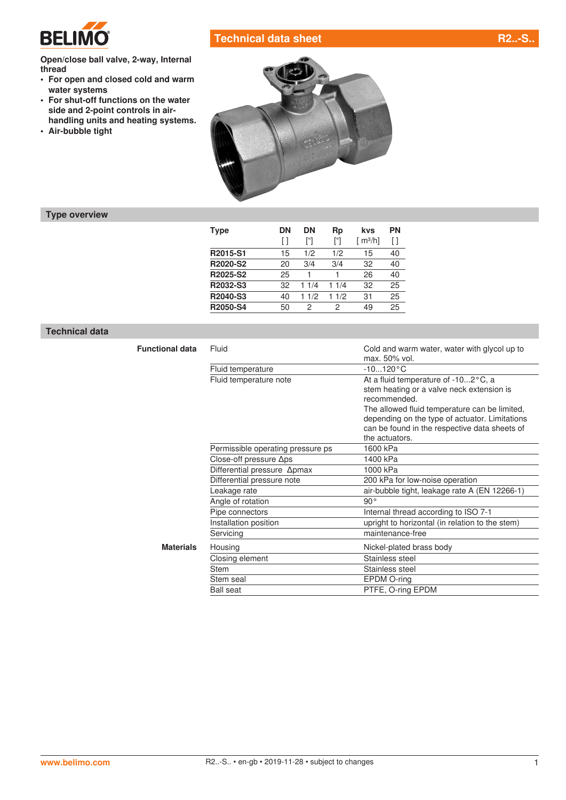

# **Technical data sheet R2..-S.**

**Open/close ball valve, 2-way, Internal thread**

- **• For open and closed cold and warm water systems**
- **• For shut-off functions on the water side and 2-point controls in airhandling units and heating systems.**
- **• Air-bubble tight**



## **Type overview**

| Type     | DΝ<br>ſ1 | DN<br>["] | Rp<br>["] | kvs<br>$\lceil m^3/h \rceil$ | <b>PN</b><br>ſΙ |
|----------|----------|-----------|-----------|------------------------------|-----------------|
|          |          |           |           |                              |                 |
| R2015-S1 | 15       | 1/2       | 1/2       | 15                           | 40              |
| R2020-S2 | 20       | 3/4       | 3/4       | 32                           | 40              |
| R2025-S2 | 25       |           |           | 26                           | 40              |
| R2032-S3 | 32       | 11/4      | 11/4      | 32                           | 25              |
| R2040-S3 | 40       | 1/2       | 1/2<br>1. | 31                           | 25              |
| R2050-S4 | 50       | 2         | 2         | 49                           | 25              |

### **Technical data**

| <b>Functional data</b> | Fluid                             | Cold and warm water, water with glycol up to<br>max. 50% vol. |  |  |  |  |
|------------------------|-----------------------------------|---------------------------------------------------------------|--|--|--|--|
|                        | Fluid temperature                 | $-10120 °C$                                                   |  |  |  |  |
|                        | Fluid temperature note            | At a fluid temperature of -102°C, a                           |  |  |  |  |
|                        |                                   | stem heating or a valve neck extension is<br>recommended.     |  |  |  |  |
|                        |                                   | The allowed fluid temperature can be limited,                 |  |  |  |  |
|                        |                                   | depending on the type of actuator. Limitations                |  |  |  |  |
|                        |                                   | can be found in the respective data sheets of                 |  |  |  |  |
|                        |                                   | the actuators.                                                |  |  |  |  |
|                        | Permissible operating pressure ps | 1600 kPa                                                      |  |  |  |  |
|                        | Close-off pressure $\Delta$ ps    | 1400 kPa                                                      |  |  |  |  |
|                        | Differential pressure Apmax       | 1000 kPa                                                      |  |  |  |  |
|                        | Differential pressure note        | 200 kPa for low-noise operation                               |  |  |  |  |
|                        | Leakage rate                      | air-bubble tight, leakage rate A (EN 12266-1)                 |  |  |  |  |
|                        | Angle of rotation                 | $90^{\circ}$                                                  |  |  |  |  |
|                        | Pipe connectors                   | Internal thread according to ISO 7-1                          |  |  |  |  |
|                        | Installation position             | upright to horizontal (in relation to the stem)               |  |  |  |  |
|                        | Servicing                         | maintenance-free                                              |  |  |  |  |
| <b>Materials</b>       | Housing                           | Nickel-plated brass body                                      |  |  |  |  |
|                        | Closing element                   | Stainless steel                                               |  |  |  |  |
|                        | <b>Stem</b>                       | Stainless steel                                               |  |  |  |  |
|                        | Stem seal                         | EPDM O-ring                                                   |  |  |  |  |
|                        | <b>Ball seat</b>                  | PTFE, O-ring EPDM                                             |  |  |  |  |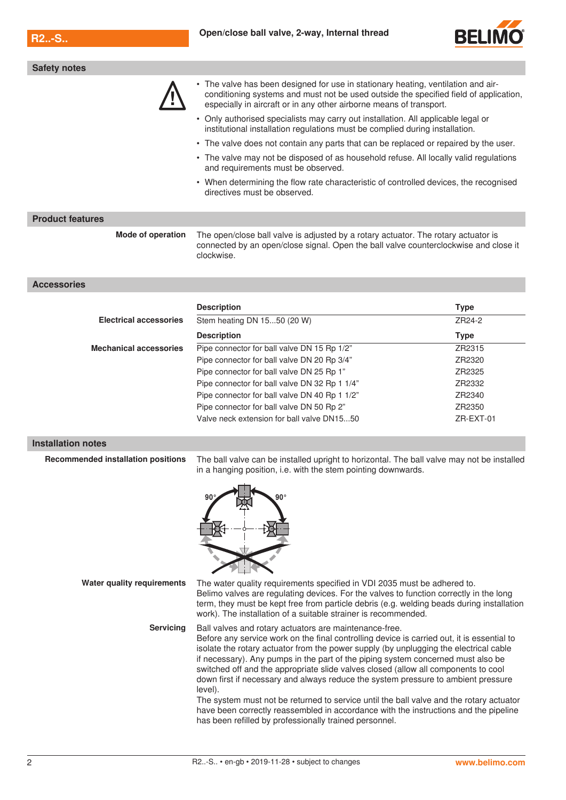**Safety notes**



|                                           | • The valve has been designed for use in stationary heating, ventilation and air-<br>conditioning systems and must not be used outside the specified field of application,<br>especially in aircraft or in any other airborne means of transport.                                                                                                                                                                                                                                                                                                                                                                                                                                                                                                                    |                       |  |  |  |  |
|-------------------------------------------|----------------------------------------------------------------------------------------------------------------------------------------------------------------------------------------------------------------------------------------------------------------------------------------------------------------------------------------------------------------------------------------------------------------------------------------------------------------------------------------------------------------------------------------------------------------------------------------------------------------------------------------------------------------------------------------------------------------------------------------------------------------------|-----------------------|--|--|--|--|
|                                           | • Only authorised specialists may carry out installation. All applicable legal or<br>institutional installation regulations must be complied during installation.                                                                                                                                                                                                                                                                                                                                                                                                                                                                                                                                                                                                    |                       |  |  |  |  |
|                                           | • The valve does not contain any parts that can be replaced or repaired by the user.                                                                                                                                                                                                                                                                                                                                                                                                                                                                                                                                                                                                                                                                                 |                       |  |  |  |  |
|                                           | • The valve may not be disposed of as household refuse. All locally valid regulations<br>and requirements must be observed.                                                                                                                                                                                                                                                                                                                                                                                                                                                                                                                                                                                                                                          |                       |  |  |  |  |
|                                           | • When determining the flow rate characteristic of controlled devices, the recognised<br>directives must be observed.                                                                                                                                                                                                                                                                                                                                                                                                                                                                                                                                                                                                                                                |                       |  |  |  |  |
| <b>Product features</b>                   |                                                                                                                                                                                                                                                                                                                                                                                                                                                                                                                                                                                                                                                                                                                                                                      |                       |  |  |  |  |
| Mode of operation                         | The open/close ball valve is adjusted by a rotary actuator. The rotary actuator is<br>connected by an open/close signal. Open the ball valve counterclockwise and close it<br>clockwise.                                                                                                                                                                                                                                                                                                                                                                                                                                                                                                                                                                             |                       |  |  |  |  |
| <b>Accessories</b>                        |                                                                                                                                                                                                                                                                                                                                                                                                                                                                                                                                                                                                                                                                                                                                                                      |                       |  |  |  |  |
|                                           |                                                                                                                                                                                                                                                                                                                                                                                                                                                                                                                                                                                                                                                                                                                                                                      |                       |  |  |  |  |
| <b>Electrical accessories</b>             | <b>Description</b><br>Stem heating DN 1550 (20 W)                                                                                                                                                                                                                                                                                                                                                                                                                                                                                                                                                                                                                                                                                                                    | <b>Type</b><br>ZR24-2 |  |  |  |  |
|                                           |                                                                                                                                                                                                                                                                                                                                                                                                                                                                                                                                                                                                                                                                                                                                                                      |                       |  |  |  |  |
| <b>Mechanical accessories</b>             | <b>Description</b><br>Pipe connector for ball valve DN 15 Rp 1/2"                                                                                                                                                                                                                                                                                                                                                                                                                                                                                                                                                                                                                                                                                                    | <b>Type</b><br>ZR2315 |  |  |  |  |
|                                           | Pipe connector for ball valve DN 20 Rp 3/4"                                                                                                                                                                                                                                                                                                                                                                                                                                                                                                                                                                                                                                                                                                                          | ZR2320                |  |  |  |  |
|                                           | Pipe connector for ball valve DN 25 Rp 1"                                                                                                                                                                                                                                                                                                                                                                                                                                                                                                                                                                                                                                                                                                                            | ZR2325                |  |  |  |  |
|                                           | Pipe connector for ball valve DN 32 Rp 1 1/4"                                                                                                                                                                                                                                                                                                                                                                                                                                                                                                                                                                                                                                                                                                                        | ZR2332                |  |  |  |  |
|                                           | Pipe connector for ball valve DN 40 Rp 1 1/2"                                                                                                                                                                                                                                                                                                                                                                                                                                                                                                                                                                                                                                                                                                                        | ZR2340                |  |  |  |  |
|                                           | Pipe connector for ball valve DN 50 Rp 2"<br>ZR2350                                                                                                                                                                                                                                                                                                                                                                                                                                                                                                                                                                                                                                                                                                                  |                       |  |  |  |  |
|                                           | Valve neck extension for ball valve DN1550                                                                                                                                                                                                                                                                                                                                                                                                                                                                                                                                                                                                                                                                                                                           | ZR-EXT-01             |  |  |  |  |
|                                           |                                                                                                                                                                                                                                                                                                                                                                                                                                                                                                                                                                                                                                                                                                                                                                      |                       |  |  |  |  |
| <b>Installation notes</b>                 |                                                                                                                                                                                                                                                                                                                                                                                                                                                                                                                                                                                                                                                                                                                                                                      |                       |  |  |  |  |
| <b>Recommended installation positions</b> | The ball valve can be installed upright to horizontal. The ball valve may not be installed<br>in a hanging position, i.e. with the stem pointing downwards.                                                                                                                                                                                                                                                                                                                                                                                                                                                                                                                                                                                                          |                       |  |  |  |  |
|                                           | 90°                                                                                                                                                                                                                                                                                                                                                                                                                                                                                                                                                                                                                                                                                                                                                                  |                       |  |  |  |  |
| Water quality requirements                | The water quality requirements specified in VDI 2035 must be adhered to.<br>Belimo valves are regulating devices. For the valves to function correctly in the long<br>term, they must be kept free from particle debris (e.g. welding beads during installation<br>work). The installation of a suitable strainer is recommended.                                                                                                                                                                                                                                                                                                                                                                                                                                    |                       |  |  |  |  |
| <b>Servicing</b>                          | Ball valves and rotary actuators are maintenance-free.<br>Before any service work on the final controlling device is carried out, it is essential to<br>isolate the rotary actuator from the power supply (by unplugging the electrical cable<br>if necessary). Any pumps in the part of the piping system concerned must also be<br>switched off and the appropriate slide valves closed (allow all components to cool<br>down first if necessary and always reduce the system pressure to ambient pressure<br>level).<br>The system must not be returned to service until the ball valve and the rotary actuator<br>have been correctly reassembled in accordance with the instructions and the pipeline<br>has been refilled by professionally trained personnel. |                       |  |  |  |  |